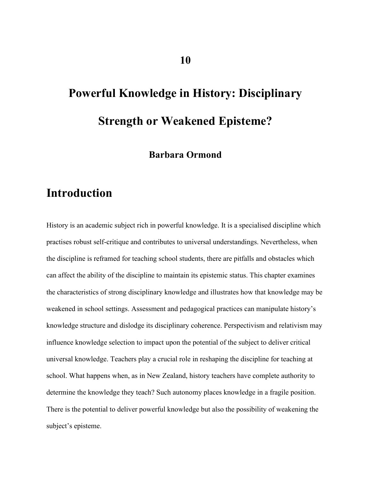# **Powerful Knowledge in History: Disciplinary Strength or Weakened Episteme?**

**Barbara Ormond**

### **Introduction**

History is an academic subject rich in powerful knowledge. It is a specialised discipline which practises robust self-critique and contributes to universal understandings. Nevertheless, when the discipline is reframed for teaching school students, there are pitfalls and obstacles which can affect the ability of the discipline to maintain its epistemic status. This chapter examines the characteristics of strong disciplinary knowledge and illustrates how that knowledge may be weakened in school settings. Assessment and pedagogical practices can manipulate history's knowledge structure and dislodge its disciplinary coherence. Perspectivism and relativism may influence knowledge selection to impact upon the potential of the subject to deliver critical universal knowledge. Teachers play a crucial role in reshaping the discipline for teaching at school. What happens when, as in New Zealand, history teachers have complete authority to determine the knowledge they teach? Such autonomy places knowledge in a fragile position. There is the potential to deliver powerful knowledge but also the possibility of weakening the subject's episteme.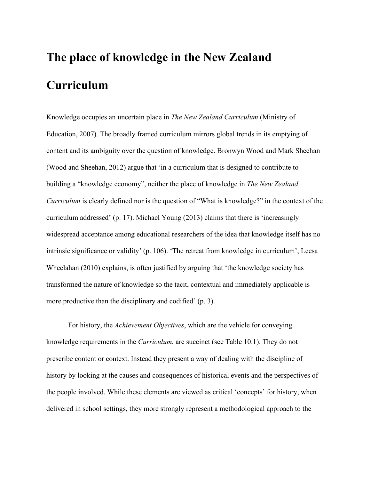# **The place of knowledge in the New Zealand Curriculum**

Knowledge occupies an uncertain place in *The New Zealand Curriculum* (Ministry of Education, 2007). The broadly framed curriculum mirrors global trends in its emptying of content and its ambiguity over the question of knowledge. Bronwyn Wood and Mark Sheehan (Wood and Sheehan, 2012) argue that 'in a curriculum that is designed to contribute to building a "knowledge economy", neither the place of knowledge in *The New Zealand Curriculum* is clearly defined nor is the question of "What is knowledge?" in the context of the curriculum addressed' (p. 17). Michael Young (2013) claims that there is 'increasingly widespread acceptance among educational researchers of the idea that knowledge itself has no intrinsic significance or validity' (p. 106). 'The retreat from knowledge in curriculum', Leesa Wheelahan (2010) explains, is often justified by arguing that 'the knowledge society has transformed the nature of knowledge so the tacit, contextual and immediately applicable is more productive than the disciplinary and codified' (p. 3).

For history, the *Achievement Objectives*, which are the vehicle for conveying knowledge requirements in the *Curriculum*, are succinct (see Table 10.1). They do not prescribe content or context. Instead they present a way of dealing with the discipline of history by looking at the causes and consequences of historical events and the perspectives of the people involved. While these elements are viewed as critical 'concepts' for history, when delivered in school settings, they more strongly represent a methodological approach to the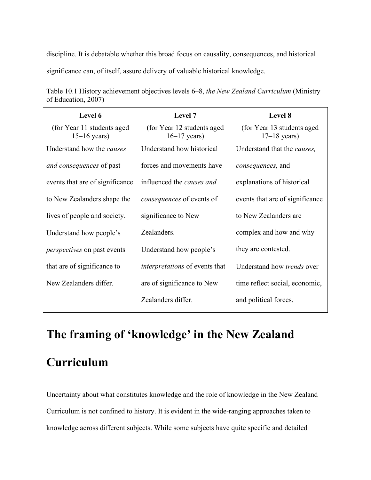discipline. It is debatable whether this broad focus on causality, consequences, and historical

significance can, of itself, assure delivery of valuable historical knowledge.

| Level 6                                       | Level 7                                       | Level 8                                       |
|-----------------------------------------------|-----------------------------------------------|-----------------------------------------------|
| (for Year 11 students aged)<br>$15-16$ years) | (for Year 12 students aged)<br>$16-17$ years) | (for Year 13 students aged)<br>$17-18$ years) |
| Understand how the <i>causes</i>              | Understand how historical                     | Understand that the <i>causes</i> ,           |
| <i>and consequences</i> of past               | forces and movements have                     | <i>consequences</i> , and                     |
| events that are of significance               | influenced the <i>causes and</i>              | explanations of historical                    |
| to New Zealanders shape the                   | <i>consequences</i> of events of              | events that are of significance               |
| lives of people and society.                  | significance to New                           | to New Zealanders are                         |
| Understand how people's                       | Zealanders.                                   | complex and how and why                       |
| <i>perspectives</i> on past events            | Understand how people's                       | they are contested.                           |
| that are of significance to                   | <i>interpretations</i> of events that         | Understand how <i>trends</i> over             |
| New Zealanders differ.                        | are of significance to New                    | time reflect social, economic,                |
|                                               | Zealanders differ.                            | and political forces.                         |

Table 10.1 History achievement objectives levels 6–8, *the New Zealand Curriculum* (Ministry of Education, 2007)

# **The framing of 'knowledge' in the New Zealand Curriculum**

Uncertainty about what constitutes knowledge and the role of knowledge in the New Zealand Curriculum is not confined to history. It is evident in the wide-ranging approaches taken to knowledge across different subjects. While some subjects have quite specific and detailed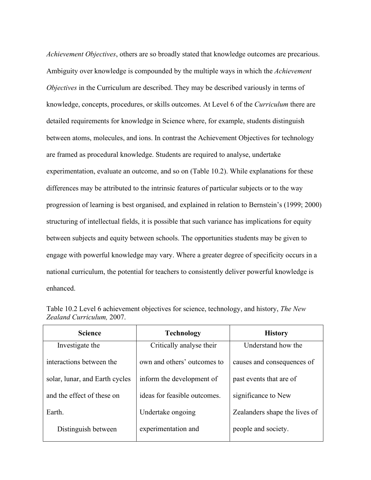*Achievement Objectives*, others are so broadly stated that knowledge outcomes are precarious. Ambiguity over knowledge is compounded by the multiple ways in which the *Achievement Objectives* in the Curriculum are described. They may be described variously in terms of knowledge, concepts, procedures, or skills outcomes. At Level 6 of the *Curriculum* there are detailed requirements for knowledge in Science where, for example, students distinguish between atoms, molecules, and ions. In contrast the Achievement Objectives for technology are framed as procedural knowledge. Students are required to analyse, undertake experimentation, evaluate an outcome, and so on (Table 10.2). While explanations for these differences may be attributed to the intrinsic features of particular subjects or to the way progression of learning is best organised, and explained in relation to Bernstein's (1999; 2000) structuring of intellectual fields, it is possible that such variance has implications for equity between subjects and equity between schools. The opportunities students may be given to engage with powerful knowledge may vary. Where a greater degree of specificity occurs in a national curriculum, the potential for teachers to consistently deliver powerful knowledge is enhanced.

| <b>Science</b>                 | <b>Technology</b>            | <b>History</b>                |
|--------------------------------|------------------------------|-------------------------------|
| Investigate the                | Critically analyse their     | Understand how the            |
| interactions between the       | own and others' outcomes to  | causes and consequences of    |
| solar, lunar, and Earth cycles | inform the development of    | past events that are of       |
| and the effect of these on     | ideas for feasible outcomes. | significance to New           |
| Earth.                         | Undertake ongoing            | Zealanders shape the lives of |
| Distinguish between            | experimentation and          | people and society.           |

Table 10.2 Level 6 achievement objectives for science, technology, and history, *The New Zealand Curriculum,* 2007.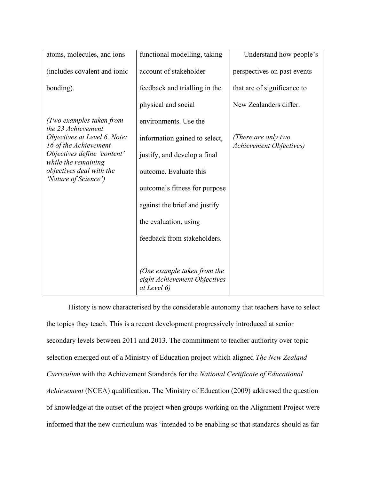| atoms, molecules, and ions                           | functional modelling, taking                                               | Understand how people's         |
|------------------------------------------------------|----------------------------------------------------------------------------|---------------------------------|
| (includes covalent and ionic                         | account of stakeholder                                                     | perspectives on past events     |
| bonding).                                            | feedback and trialling in the                                              | that are of significance to     |
|                                                      | physical and social                                                        | New Zealanders differ.          |
| (Two examples taken from                             | environments. Use the                                                      |                                 |
| the 23 Achievement<br>Objectives at Level 6. Note:   | information gained to select,                                              | (There are only two             |
| 16 of the Achievement<br>Objectives define 'content' | justify, and develop a final                                               | <b>Achievement Objectives</b> ) |
| while the remaining<br>objectives deal with the      | outcome. Evaluate this                                                     |                                 |
| 'Nature of Science')                                 | outcome's fitness for purpose                                              |                                 |
|                                                      | against the brief and justify                                              |                                 |
|                                                      | the evaluation, using                                                      |                                 |
|                                                      | feedback from stakeholders.                                                |                                 |
|                                                      |                                                                            |                                 |
|                                                      | (One example taken from the<br>eight Achievement Objectives<br>at Level 6) |                                 |

History is now characterised by the considerable autonomy that teachers have to select the topics they teach. This is a recent development progressively introduced at senior secondary levels between 2011 and 2013. The commitment to teacher authority over topic selection emerged out of a Ministry of Education project which aligned *The New Zealand Curriculum* with the Achievement Standards for the *National Certificate of Educational Achievement* (NCEA) qualification. The Ministry of Education (2009) addressed the question of knowledge at the outset of the project when groups working on the Alignment Project were informed that the new curriculum was 'intended to be enabling so that standards should as far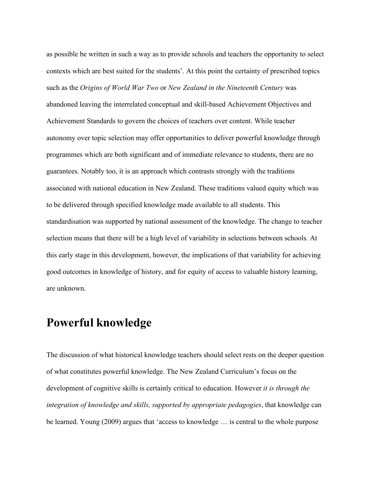as possible be written in such a way as to provide schools and teachers the opportunity to select contexts which are best suited for the students'. At this point the certainty of prescribed topics such as the *Origins of World War Two* or *New Zealand in the Nineteenth Century* was abandoned leaving the interrelated conceptual and skill-based Achievement Objectives and Achievement Standards to govern the choices of teachers over content. While teacher autonomy over topic selection may offer opportunities to deliver powerful knowledge through programmes which are both significant and of immediate relevance to students, there are no guarantees. Notably too, it is an approach which contrasts strongly with the traditions associated with national education in New Zealand. These traditions valued equity which was to be delivered through specified knowledge made available to all students. This standardisation was supported by national assessment of the knowledge. The change to teacher selection means that there will be a high level of variability in selections between schools. At this early stage in this development, however, the implications of that variability for achieving good outcomes in knowledge of history, and for equity of access to valuable history learning, are unknown.

### **Powerful knowledge**

The discussion of what historical knowledge teachers should select rests on the deeper question of what constitutes powerful knowledge. The New Zealand Curriculum's focus on the development of cognitive skills is certainly critical to education. However *it is through the integration of knowledge and skills, supported by appropriate pedagogies*, that knowledge can be learned. Young (2009) argues that 'access to knowledge … is central to the whole purpose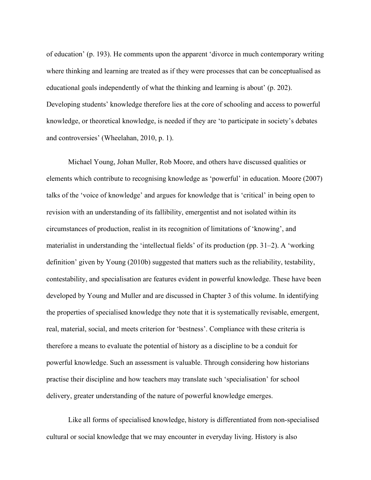of education' (p. 193). He comments upon the apparent 'divorce in much contemporary writing where thinking and learning are treated as if they were processes that can be conceptualised as educational goals independently of what the thinking and learning is about' (p. 202). Developing students' knowledge therefore lies at the core of schooling and access to powerful knowledge, or theoretical knowledge, is needed if they are 'to participate in society's debates and controversies' (Wheelahan, 2010, p. 1).

Michael Young, Johan Muller, Rob Moore, and others have discussed qualities or elements which contribute to recognising knowledge as 'powerful' in education. Moore (2007) talks of the 'voice of knowledge' and argues for knowledge that is 'critical' in being open to revision with an understanding of its fallibility, emergentist and not isolated within its circumstances of production, realist in its recognition of limitations of 'knowing', and materialist in understanding the 'intellectual fields' of its production (pp. 31–2). A 'working definition' given by Young (2010b) suggested that matters such as the reliability, testability, contestability, and specialisation are features evident in powerful knowledge. These have been developed by Young and Muller and are discussed in Chapter 3 of this volume. In identifying the properties of specialised knowledge they note that it is systematically revisable, emergent, real, material, social, and meets criterion for 'bestness'. Compliance with these criteria is therefore a means to evaluate the potential of history as a discipline to be a conduit for powerful knowledge. Such an assessment is valuable. Through considering how historians practise their discipline and how teachers may translate such 'specialisation' for school delivery, greater understanding of the nature of powerful knowledge emerges.

Like all forms of specialised knowledge, history is differentiated from non-specialised cultural or social knowledge that we may encounter in everyday living. History is also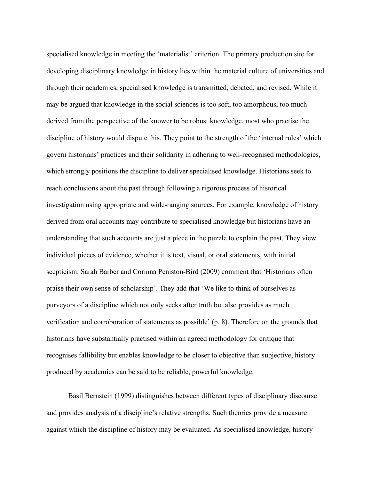specialised knowledge in meeting the 'materialist' criterion. The primary production site for developing disciplinary knowledge in history lies within the material culture of universities and through their academics, specialised knowledge is transmitted, debated, and revised. While it may be argued that knowledge in the social sciences is too soft, too amorphous, too much derived from the perspective of the knower to be robust knowledge, most who practise the discipline of history would dispute this. They point to the strength of the 'internal rules' which govern historians' practices and their solidarity in adhering to well-recognised methodologies, which strongly positions the discipline to deliver specialised knowledge. Historians seek to reach conclusions about the past through following a rigorous process of historical investigation using appropriate and wide-ranging sources. For example, knowledge of history derived from oral accounts may contribute to specialised knowledge but historians have an understanding that such accounts are just a piece in the puzzle to explain the past. They view individual pieces of evidence, whether it is text, visual, or oral statements, with initial scepticism. Sarah Barber and Corinna Peniston-Bird (2009) comment that 'Historians often praise their own sense of scholarship'. They add that 'We like to think of ourselves as purveyors of a discipline which not only seeks after truth but also provides as much verification and corroboration of statements as possible' (p. 8). Therefore on the grounds that historians have substantially practised within an agreed methodology for critique that recognises fallibility but enables knowledge to be closer to objective than subjective, history produced by academics can be said to be reliable, powerful knowledge.

Basil Bernstein (1999) distinguishes between different types of disciplinary discourse and provides analysis of a discipline's relative strengths. Such theories provide a measure against which the discipline of history may be evaluated. As specialised knowledge, history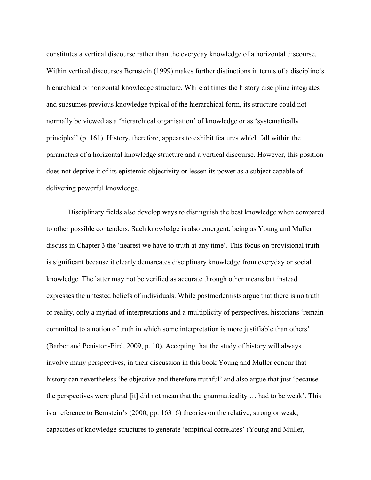constitutes a vertical discourse rather than the everyday knowledge of a horizontal discourse. Within vertical discourses Bernstein (1999) makes further distinctions in terms of a discipline's hierarchical or horizontal knowledge structure. While at times the history discipline integrates and subsumes previous knowledge typical of the hierarchical form, its structure could not normally be viewed as a 'hierarchical organisation' of knowledge or as 'systematically principled' (p. 161). History, therefore, appears to exhibit features which fall within the parameters of a horizontal knowledge structure and a vertical discourse. However, this position does not deprive it of its epistemic objectivity or lessen its power as a subject capable of delivering powerful knowledge.

Disciplinary fields also develop ways to distinguish the best knowledge when compared to other possible contenders. Such knowledge is also emergent, being as Young and Muller discuss in Chapter 3 the 'nearest we have to truth at any time'. This focus on provisional truth is significant because it clearly demarcates disciplinary knowledge from everyday or social knowledge. The latter may not be verified as accurate through other means but instead expresses the untested beliefs of individuals. While postmodernists argue that there is no truth or reality, only a myriad of interpretations and a multiplicity of perspectives, historians 'remain committed to a notion of truth in which some interpretation is more justifiable than others' (Barber and Peniston-Bird, 2009, p. 10). Accepting that the study of history will always involve many perspectives, in their discussion in this book Young and Muller concur that history can nevertheless 'be objective and therefore truthful' and also argue that just 'because the perspectives were plural [it] did not mean that the grammaticality … had to be weak'. This is a reference to Bernstein's (2000, pp. 163–6) theories on the relative, strong or weak, capacities of knowledge structures to generate 'empirical correlates' (Young and Muller,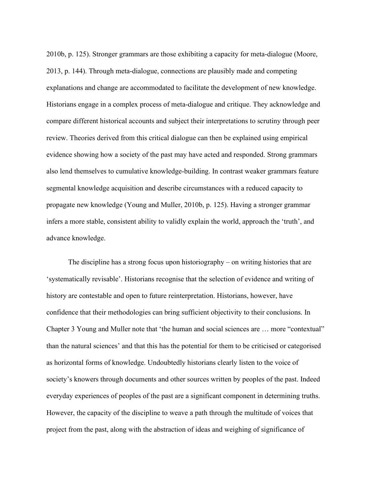2010b, p. 125). Stronger grammars are those exhibiting a capacity for meta-dialogue (Moore, 2013, p. 144). Through meta-dialogue, connections are plausibly made and competing explanations and change are accommodated to facilitate the development of new knowledge. Historians engage in a complex process of meta-dialogue and critique. They acknowledge and compare different historical accounts and subject their interpretations to scrutiny through peer review. Theories derived from this critical dialogue can then be explained using empirical evidence showing how a society of the past may have acted and responded. Strong grammars also lend themselves to cumulative knowledge-building. In contrast weaker grammars feature segmental knowledge acquisition and describe circumstances with a reduced capacity to propagate new knowledge (Young and Muller, 2010b, p. 125). Having a stronger grammar infers a more stable, consistent ability to validly explain the world, approach the 'truth', and advance knowledge.

The discipline has a strong focus upon historiography – on writing histories that are 'systematically revisable'. Historians recognise that the selection of evidence and writing of history are contestable and open to future reinterpretation. Historians, however, have confidence that their methodologies can bring sufficient objectivity to their conclusions. In Chapter 3 Young and Muller note that 'the human and social sciences are … more "contextual" than the natural sciences' and that this has the potential for them to be criticised or categorised as horizontal forms of knowledge. Undoubtedly historians clearly listen to the voice of society's knowers through documents and other sources written by peoples of the past. Indeed everyday experiences of peoples of the past are a significant component in determining truths. However, the capacity of the discipline to weave a path through the multitude of voices that project from the past, along with the abstraction of ideas and weighing of significance of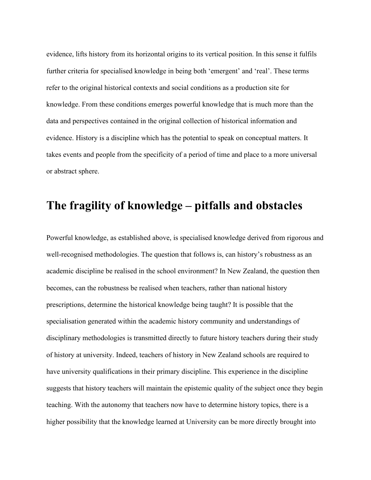evidence, lifts history from its horizontal origins to its vertical position. In this sense it fulfils further criteria for specialised knowledge in being both 'emergent' and 'real'. These terms refer to the original historical contexts and social conditions as a production site for knowledge. From these conditions emerges powerful knowledge that is much more than the data and perspectives contained in the original collection of historical information and evidence. History is a discipline which has the potential to speak on conceptual matters. It takes events and people from the specificity of a period of time and place to a more universal or abstract sphere.

### **The fragility of knowledge – pitfalls and obstacles**

Powerful knowledge, as established above, is specialised knowledge derived from rigorous and well-recognised methodologies. The question that follows is, can history's robustness as an academic discipline be realised in the school environment? In New Zealand, the question then becomes, can the robustness be realised when teachers, rather than national history prescriptions, determine the historical knowledge being taught? It is possible that the specialisation generated within the academic history community and understandings of disciplinary methodologies is transmitted directly to future history teachers during their study of history at university. Indeed, teachers of history in New Zealand schools are required to have university qualifications in their primary discipline. This experience in the discipline suggests that history teachers will maintain the epistemic quality of the subject once they begin teaching. With the autonomy that teachers now have to determine history topics, there is a higher possibility that the knowledge learned at University can be more directly brought into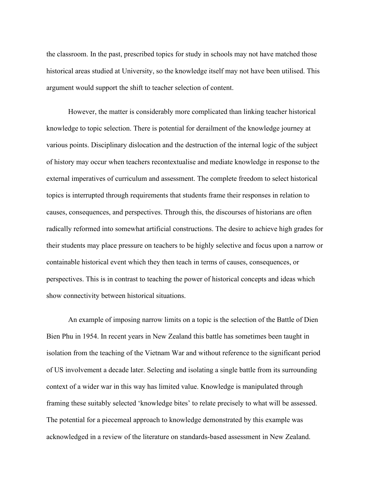the classroom. In the past, prescribed topics for study in schools may not have matched those historical areas studied at University, so the knowledge itself may not have been utilised. This argument would support the shift to teacher selection of content.

However, the matter is considerably more complicated than linking teacher historical knowledge to topic selection. There is potential for derailment of the knowledge journey at various points. Disciplinary dislocation and the destruction of the internal logic of the subject of history may occur when teachers recontextualise and mediate knowledge in response to the external imperatives of curriculum and assessment. The complete freedom to select historical topics is interrupted through requirements that students frame their responses in relation to causes, consequences, and perspectives. Through this, the discourses of historians are often radically reformed into somewhat artificial constructions. The desire to achieve high grades for their students may place pressure on teachers to be highly selective and focus upon a narrow or containable historical event which they then teach in terms of causes, consequences, or perspectives. This is in contrast to teaching the power of historical concepts and ideas which show connectivity between historical situations.

An example of imposing narrow limits on a topic is the selection of the Battle of Dien Bien Phu in 1954. In recent years in New Zealand this battle has sometimes been taught in isolation from the teaching of the Vietnam War and without reference to the significant period of US involvement a decade later. Selecting and isolating a single battle from its surrounding context of a wider war in this way has limited value. Knowledge is manipulated through framing these suitably selected 'knowledge bites' to relate precisely to what will be assessed. The potential for a piecemeal approach to knowledge demonstrated by this example was acknowledged in a review of the literature on standards-based assessment in New Zealand.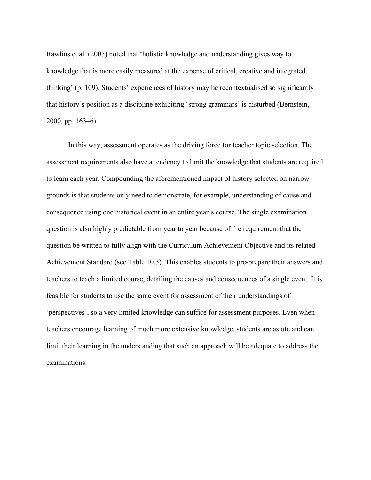Rawlins et al. (2005) noted that 'holistic knowledge and understanding gives way to knowledge that is more easily measured at the expense of critical, creative and integrated thinking' (p. 109). Students' experiences of history may be recontextualised so significantly that history's position as a discipline exhibiting 'strong grammars' is disturbed (Bernstein, 2000, pp. 163–6).

In this way, assessment operates as the driving force for teacher topic selection. The assessment requirements also have a tendency to limit the knowledge that students are required to learn each year. Compounding the aforementioned impact of history selected on narrow grounds is that students only need to demonstrate, for example, understanding of cause and consequence using one historical event in an entire year's course. The single examination question is also highly predictable from year to year because of the requirement that the question be written to fully align with the Curriculum Achievement Objective and its related Achievement Standard (see Table 10.3). This enables students to pre-prepare their answers and teachers to teach a limited course, detailing the causes and consequences of a single event. It is feasible for students to use the same event for assessment of their understandings of 'perspectives', so a very limited knowledge can suffice for assessment purposes. Even when teachers encourage learning of much more extensive knowledge, students are astute and can limit their learning in the understanding that such an approach will be adequate to address the examinations.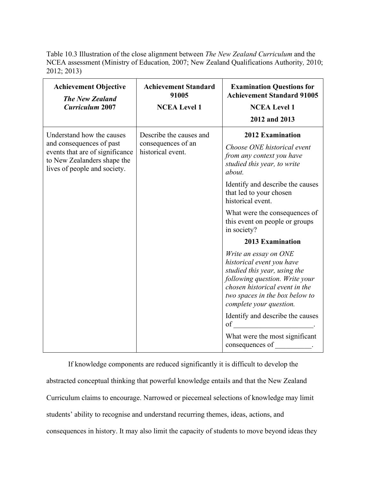Table 10.3 Illustration of the close alignment between *The New Zealand Curriculum* and the NCEA assessment (Ministry of Education*,* 2007; New Zealand Qualifications Authority*,* 2010; 2012; 2013)

| <b>Achievement Objective</b><br><b>The New Zealand</b><br><b>Curriculum 2007</b>                                                                        | <b>Achievement Standard</b><br>91005<br><b>NCEA Level 1</b>        | <b>Examination Questions for</b><br><b>Achievement Standard 91005</b><br><b>NCEA Level 1</b><br>2012 and 2013                                                                                                       |
|---------------------------------------------------------------------------------------------------------------------------------------------------------|--------------------------------------------------------------------|---------------------------------------------------------------------------------------------------------------------------------------------------------------------------------------------------------------------|
| Understand how the causes<br>and consequences of past<br>events that are of significance<br>to New Zealanders shape the<br>lives of people and society. | Describe the causes and<br>consequences of an<br>historical event. | <b>2012 Examination</b><br>Choose ONE historical event<br>from any context you have<br>studied this year, to write<br>about.                                                                                        |
|                                                                                                                                                         |                                                                    | Identify and describe the causes<br>that led to your chosen<br>historical event.                                                                                                                                    |
|                                                                                                                                                         |                                                                    | What were the consequences of<br>this event on people or groups<br>in society?                                                                                                                                      |
|                                                                                                                                                         |                                                                    | <b>2013 Examination</b>                                                                                                                                                                                             |
|                                                                                                                                                         |                                                                    | Write an essay on ONE<br>historical event you have<br>studied this year, using the<br>following question. Write your<br>chosen historical event in the<br>two spaces in the box below to<br>complete your question. |
|                                                                                                                                                         |                                                                    | Identify and describe the causes                                                                                                                                                                                    |
|                                                                                                                                                         |                                                                    | What were the most significant<br>consequences of ___________.                                                                                                                                                      |

If knowledge components are reduced significantly it is difficult to develop the abstracted conceptual thinking that powerful knowledge entails and that the New Zealand Curriculum claims to encourage. Narrowed or piecemeal selections of knowledge may limit students' ability to recognise and understand recurring themes, ideas, actions, and consequences in history. It may also limit the capacity of students to move beyond ideas they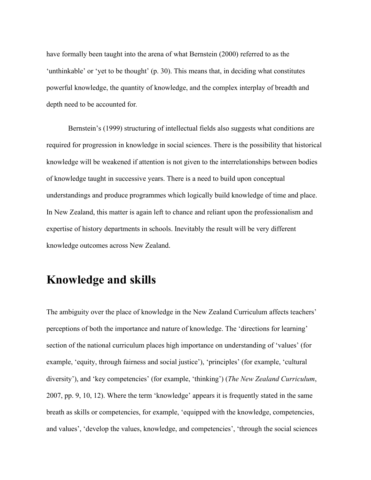have formally been taught into the arena of what Bernstein (2000) referred to as the 'unthinkable' or 'yet to be thought' (p. 30). This means that, in deciding what constitutes powerful knowledge, the quantity of knowledge, and the complex interplay of breadth and depth need to be accounted for*.*

Bernstein's (1999) structuring of intellectual fields also suggests what conditions are required for progression in knowledge in social sciences. There is the possibility that historical knowledge will be weakened if attention is not given to the interrelationships between bodies of knowledge taught in successive years. There is a need to build upon conceptual understandings and produce programmes which logically build knowledge of time and place. In New Zealand, this matter is again left to chance and reliant upon the professionalism and expertise of history departments in schools. Inevitably the result will be very different knowledge outcomes across New Zealand.

#### **Knowledge and skills**

The ambiguity over the place of knowledge in the New Zealand Curriculum affects teachers' perceptions of both the importance and nature of knowledge. The 'directions for learning' section of the national curriculum places high importance on understanding of 'values' (for example, 'equity, through fairness and social justice'), 'principles' (for example, 'cultural diversity'), and 'key competencies' (for example, 'thinking') (*The New Zealand Curriculum*, 2007, pp. 9, 10, 12). Where the term 'knowledge' appears it is frequently stated in the same breath as skills or competencies, for example, 'equipped with the knowledge, competencies, and values', 'develop the values, knowledge, and competencies', 'through the social sciences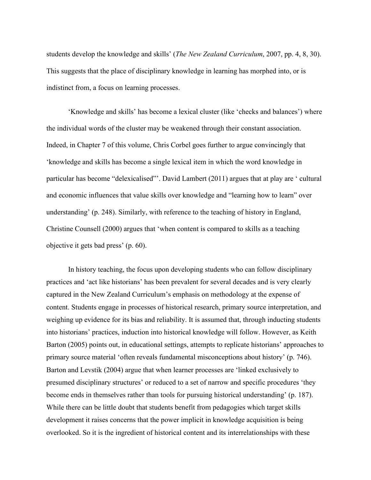students develop the knowledge and skills' (*The New Zealand Curriculum*, 2007, pp. 4, 8, 30). This suggests that the place of disciplinary knowledge in learning has morphed into, or is indistinct from, a focus on learning processes.

'Knowledge and skills' has become a lexical cluster (like 'checks and balances') where the individual words of the cluster may be weakened through their constant association. Indeed, in Chapter 7 of this volume, Chris Corbel goes further to argue convincingly that 'knowledge and skills has become a single lexical item in which the word knowledge in particular has become "delexicalised"'. David Lambert (2011) argues that at play are ' cultural and economic influences that value skills over knowledge and "learning how to learn" over understanding' (p. 248). Similarly, with reference to the teaching of history in England, Christine Counsell (2000) argues that 'when content is compared to skills as a teaching objective it gets bad press' (p. 60).

In history teaching, the focus upon developing students who can follow disciplinary practices and 'act like historians' has been prevalent for several decades and is very clearly captured in the New Zealand Curriculum's emphasis on methodology at the expense of content. Students engage in processes of historical research, primary source interpretation, and weighing up evidence for its bias and reliability. It is assumed that, through inducting students into historians' practices, induction into historical knowledge will follow. However, as Keith Barton (2005) points out, in educational settings, attempts to replicate historians' approaches to primary source material 'often reveals fundamental misconceptions about history' (p. 746). Barton and Levstik (2004) argue that when learner processes are 'linked exclusively to presumed disciplinary structures' or reduced to a set of narrow and specific procedures 'they become ends in themselves rather than tools for pursuing historical understanding' (p. 187). While there can be little doubt that students benefit from pedagogies which target skills development it raises concerns that the power implicit in knowledge acquisition is being overlooked. So it is the ingredient of historical content and its interrelationships with these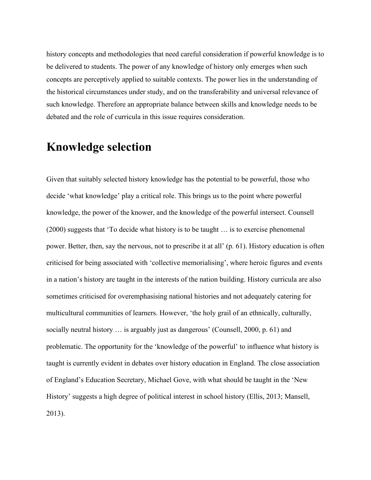history concepts and methodologies that need careful consideration if powerful knowledge is to be delivered to students. The power of any knowledge of history only emerges when such concepts are perceptively applied to suitable contexts. The power lies in the understanding of the historical circumstances under study, and on the transferability and universal relevance of such knowledge. Therefore an appropriate balance between skills and knowledge needs to be debated and the role of curricula in this issue requires consideration.

# **Knowledge selection**

Given that suitably selected history knowledge has the potential to be powerful, those who decide 'what knowledge' play a critical role. This brings us to the point where powerful knowledge, the power of the knower, and the knowledge of the powerful intersect. Counsell (2000) suggests that 'To decide what history is to be taught … is to exercise phenomenal power. Better, then, say the nervous, not to prescribe it at all' (p. 61). History education is often criticised for being associated with 'collective memorialising', where heroic figures and events in a nation's history are taught in the interests of the nation building. History curricula are also sometimes criticised for overemphasising national histories and not adequately catering for multicultural communities of learners. However, 'the holy grail of an ethnically, culturally, socially neutral history … is arguably just as dangerous' (Counsell, 2000, p. 61) and problematic. The opportunity for the 'knowledge of the powerful' to influence what history is taught is currently evident in debates over history education in England. The close association of England's Education Secretary, Michael Gove, with what should be taught in the 'New History' suggests a high degree of political interest in school history (Ellis, 2013; Mansell, 2013).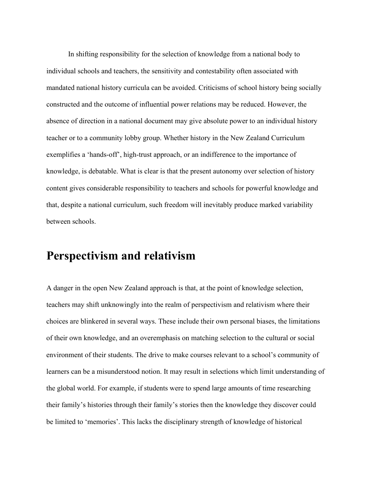In shifting responsibility for the selection of knowledge from a national body to individual schools and teachers, the sensitivity and contestability often associated with mandated national history curricula can be avoided. Criticisms of school history being socially constructed and the outcome of influential power relations may be reduced. However, the absence of direction in a national document may give absolute power to an individual history teacher or to a community lobby group. Whether history in the New Zealand Curriculum exemplifies a 'hands-off', high-trust approach, or an indifference to the importance of knowledge, is debatable. What is clear is that the present autonomy over selection of history content gives considerable responsibility to teachers and schools for powerful knowledge and that, despite a national curriculum, such freedom will inevitably produce marked variability between schools.

### **Perspectivism and relativism**

A danger in the open New Zealand approach is that, at the point of knowledge selection, teachers may shift unknowingly into the realm of perspectivism and relativism where their choices are blinkered in several ways. These include their own personal biases, the limitations of their own knowledge, and an overemphasis on matching selection to the cultural or social environment of their students. The drive to make courses relevant to a school's community of learners can be a misunderstood notion. It may result in selections which limit understanding of the global world. For example, if students were to spend large amounts of time researching their family's histories through their family's stories then the knowledge they discover could be limited to 'memories'. This lacks the disciplinary strength of knowledge of historical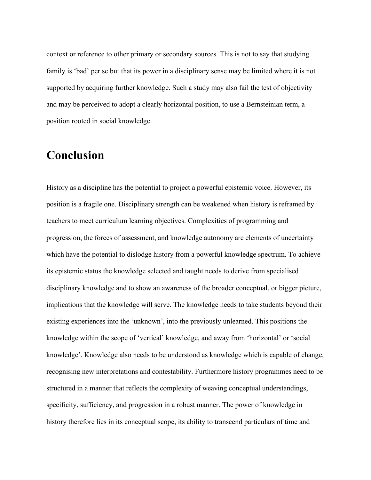context or reference to other primary or secondary sources. This is not to say that studying family is 'bad' per se but that its power in a disciplinary sense may be limited where it is not supported by acquiring further knowledge. Such a study may also fail the test of objectivity and may be perceived to adopt a clearly horizontal position, to use a Bernsteinian term, a position rooted in social knowledge.

## **Conclusion**

History as a discipline has the potential to project a powerful epistemic voice. However, its position is a fragile one. Disciplinary strength can be weakened when history is reframed by teachers to meet curriculum learning objectives. Complexities of programming and progression, the forces of assessment, and knowledge autonomy are elements of uncertainty which have the potential to dislodge history from a powerful knowledge spectrum. To achieve its epistemic status the knowledge selected and taught needs to derive from specialised disciplinary knowledge and to show an awareness of the broader conceptual, or bigger picture, implications that the knowledge will serve. The knowledge needs to take students beyond their existing experiences into the 'unknown', into the previously unlearned. This positions the knowledge within the scope of 'vertical' knowledge, and away from 'horizontal' or 'social knowledge'. Knowledge also needs to be understood as knowledge which is capable of change, recognising new interpretations and contestability. Furthermore history programmes need to be structured in a manner that reflects the complexity of weaving conceptual understandings, specificity, sufficiency, and progression in a robust manner. The power of knowledge in history therefore lies in its conceptual scope, its ability to transcend particulars of time and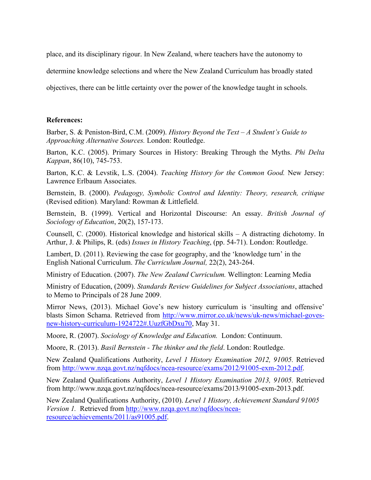place, and its disciplinary rigour. In New Zealand, where teachers have the autonomy to

determine knowledge selections and where the New Zealand Curriculum has broadly stated

objectives, there can be little certainty over the power of the knowledge taught in schools.

#### **References:**

Barber, S. & Peniston-Bird, C.M. (2009). *History Beyond the Text – A Student's Guide to Approaching Alternative Sources.* London: Routledge.

Barton, K.C. (2005). Primary Sources in History: Breaking Through the Myths. *Phi Delta Kappan*, 86(10), 745-753.

Barton, K.C. & Levstik, L.S. (2004). *Teaching History for the Common Good.* New Jersey: Lawrence Erlbaum Associates.

Bernstein, B. (2000). *Pedagogy, Symbolic Control and Identity: Theory, research, critique* (Revised edition)*.* Maryland: Rowman & Littlefield.

Bernstein, B. (1999). Vertical and Horizontal Discourse: An essay. *British Journal of Sociology of Education*, 20(2), 157-173.

Counsell, C. (2000). Historical knowledge and historical skills – A distracting dichotomy. In Arthur, J. & Philips, R. (eds) *Issues in History Teaching*, (pp. 54-71). London: Routledge.

Lambert, D. (2011). Reviewing the case for geography, and the 'knowledge turn' in the English National Curriculum. *The Curriculum Journal,* 22(2), 243-264.

Ministry of Education. (2007). *The New Zealand Curriculum.* Wellington: Learning Media

Ministry of Education, (2009). *Standards Review Guidelines for Subject Associations*, attached to Memo to Principals of 28 June 2009.

Mirror News, (2013). Michael Gove's new history curriculum is 'insulting and offensive' blasts Simon Schama. Retrieved from [http://www.mirror.co.uk/news/uk-news/michael-goves](http://www.mirror.co.uk/news/uk-news/michael-goves-new-history-curriculum-1924722#.UuzfGbDxu70)[new-history-curriculum-1924722#.UuzfGbDxu70,](http://www.mirror.co.uk/news/uk-news/michael-goves-new-history-curriculum-1924722#.UuzfGbDxu70) May 31.

Moore, R. (2007). *Sociology of Knowledge and Education.* London: Continuum.

Moore, R. (2013). *Basil Bernstein - The thinker and the field*. London: Routledge.

New Zealand Qualifications Authority, *Level 1 History Examination 2012, 91005.* Retrieved from [http://www.nzqa.govt.nz/nqfdocs/ncea-resource/exams/2012/91005-exm-2012.pdf.](http://www.nzqa.govt.nz/nqfdocs/ncea-resource/exams/2012/91005-exm-2012.pdf)

New Zealand Qualifications Authority, *Level 1 History Examination 2013, 91005.* Retrieved from http://www.nzqa.govt.nz/nqfdocs/ncea-resource/exams/2013/91005-exm-2013.pdf.

New Zealand Qualifications Authority, (2010). *Level 1 History, Achievement Standard 91005 Version 1.* Retrieved from [http://www.nzqa.govt.nz/nqfdocs/ncea](http://www.nzqa.govt.nz/nqfdocs/ncea-resource/achievements/2011/as91005.pdf)[resource/achievements/2011/as91005.pdf.](http://www.nzqa.govt.nz/nqfdocs/ncea-resource/achievements/2011/as91005.pdf)